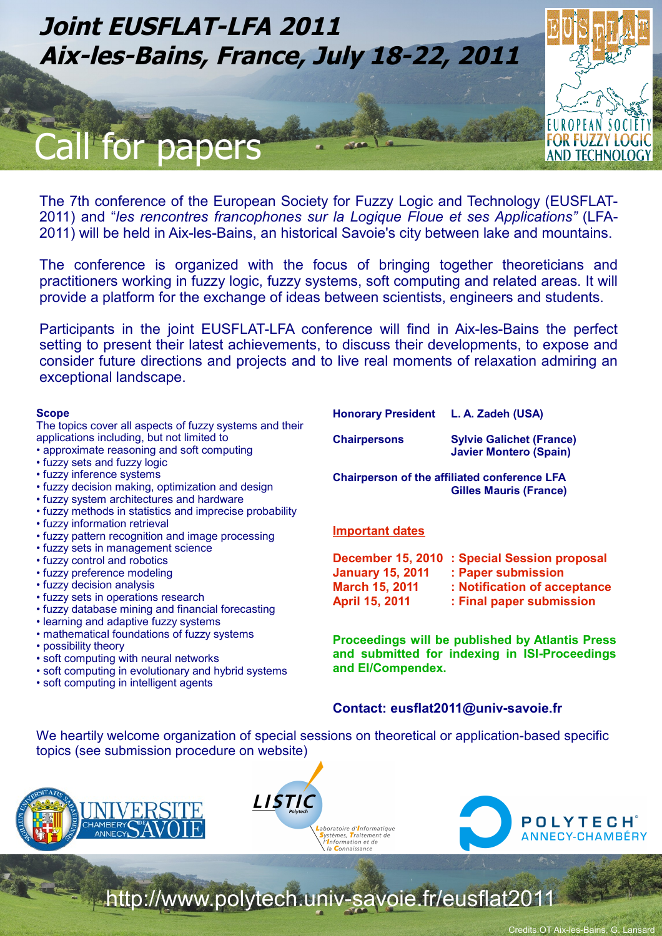

The 7th conference of the European Society for Fuzzy Logic and Technology (EUSFLAT-2011) and "*les rencontres francophones sur la Logique Floue et ses Applications"* (LFA-2011) will be held in Aix-les-Bains, an historical Savoie's city between lake and mountains.

The conference is organized with the focus of bringing together theoreticians and practitioners working in fuzzy logic, fuzzy systems, soft computing and related areas. It will provide a platform for the exchange of ideas between scientists, engineers and students.

Participants in the joint EUSFLAT-LFA conference will find in Aix-les-Bains the perfect setting to present their latest achievements, to discuss their developments, to expose and consider future directions and projects and to live real moments of relaxation admiring an exceptional landscape.

### **Scope**

The topics cover all aspects of fuzzy systems and their applications including, but not limited to

- approximate reasoning and soft computing
- fuzzy sets and fuzzy logic
- fuzzy inference systems
- fuzzy decision making, optimization and design
- fuzzy system architectures and hardware
- fuzzy methods in statistics and imprecise probability
- fuzzy information retrieval
- fuzzy pattern recognition and image processing
- fuzzy sets in management science
- fuzzy control and robotics
- fuzzy preference modeling
- fuzzy decision analysis
- fuzzy sets in operations research
- fuzzy database mining and financial forecasting
- learning and adaptive fuzzy systems
- mathematical foundations of fuzzy systems
- possibility theory
- soft computing with neural networks
- soft computing in evolutionary and hybrid systems
- soft computing in intelligent agents

**Honorary President L. A. Zadeh (USA)**

**Chairpersons Sylvie Galichet (France) Javier Montero (Spain)**

**Chairperson of the affiliated conference LFA Gilles Mauris (France)**

#### **Important dates**

|                         | December 15, 2010 : Special Session proposal |
|-------------------------|----------------------------------------------|
| <b>January 15, 2011</b> | : Paper submission                           |
| <b>March 15, 2011</b>   | : Notification of acceptance                 |
| <b>April 15, 2011</b>   | : Final paper submission                     |

**Proceedings will be published by Atlantis Press and submitted for indexing in ISI-Proceedings and EI/Compendex.**

### **Contact: eusflat2011@univ-savoie.fr**

We heartily welcome organization of special sessions on theoretical or application-based specific topics (see submission procedure on website)







http://www.polytech.univ-savoie.fr/eusflat2011